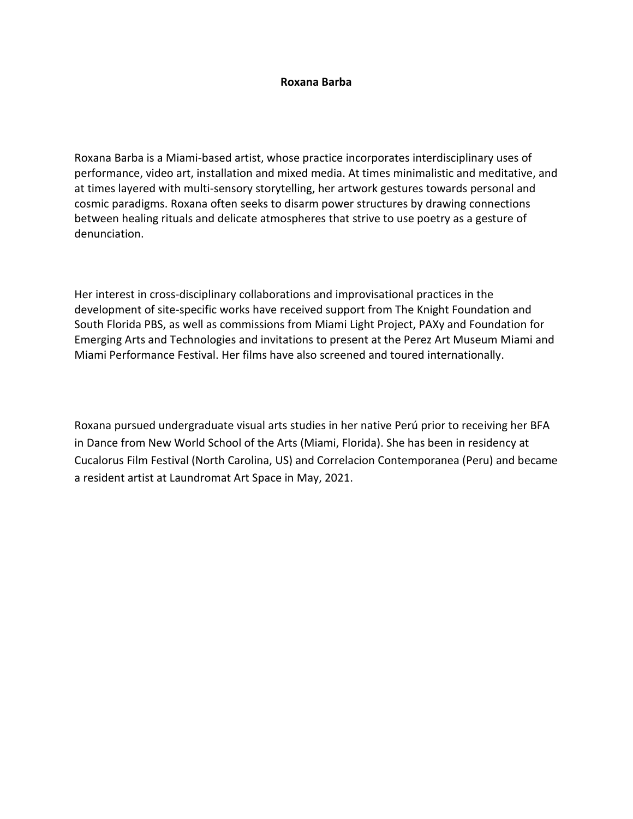## **Roxana Barba**

Roxana Barba is a Miami-based artist, whose practice incorporates interdisciplinary uses of performance, video art, installation and mixed media. At times minimalistic and meditative, and at times layered with multi-sensory storytelling, her artwork gestures towards personal and cosmic paradigms. Roxana often seeks to disarm power structures by drawing connections between healing rituals and delicate atmospheres that strive to use poetry as a gesture of denunciation.

Her interest in cross-disciplinary collaborations and improvisational practices in the development of site-specific works have received support from The Knight Foundation and South Florida PBS, as well as commissions from Miami Light Project, PAXy and Foundation for Emerging Arts and Technologies and invitations to present at the Perez Art Museum Miami and Miami Performance Festival. Her films have also screened and toured internationally.

Roxana pursued undergraduate visual arts studies in her native Perú prior to receiving her BFA in Dance from New World School of the Arts (Miami, Florida). She has been in residency at Cucalorus Film Festival (North Carolina, US) and Correlacion Contemporanea (Peru) and became a resident artist at Laundromat Art Space in May, 2021.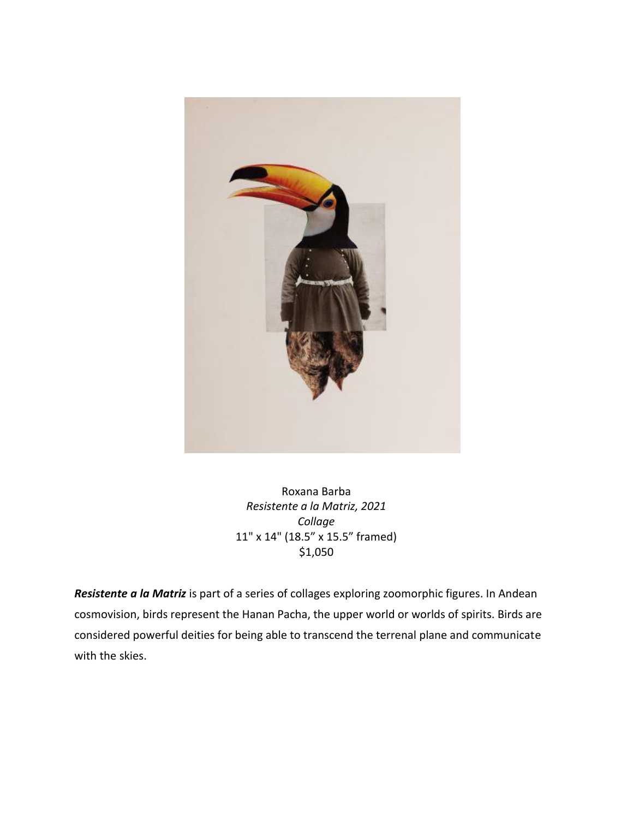

Roxana Barba *Resistente a la Matriz, 2021 Collage* 11" x 14" (18.5" x 15.5" framed) \$1,050

*Resistente a la Matriz* is part of a series of collages exploring zoomorphic figures. In Andean cosmovision, birds represent the Hanan Pacha, the upper world or worlds of spirits. Birds are considered powerful deities for being able to transcend the terrenal plane and communicate with the skies.